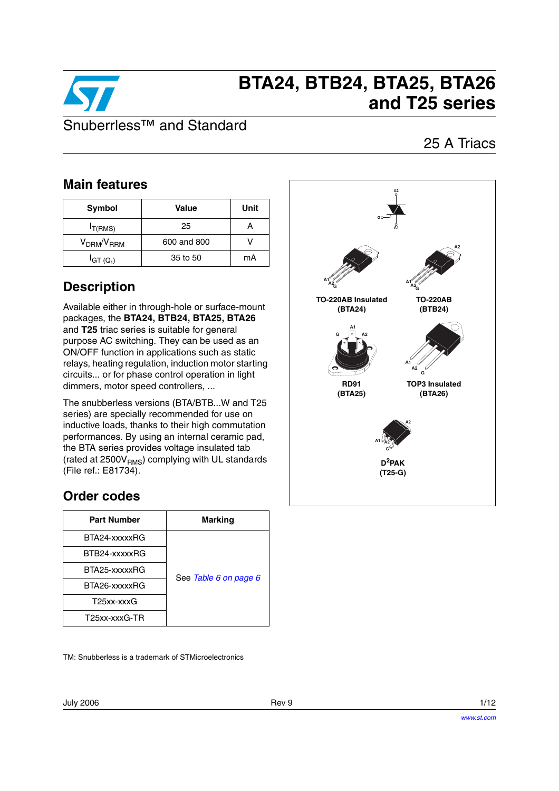

# **BTA24, BTB24, BTA25, BTA26 and T25 series**

### 25 A Triacs

### **Main features**

| Symbol                             | Value       | Unit |
|------------------------------------|-------------|------|
| $I_{T(RMS)}$                       | 25          |      |
| V <sub>DRM</sub> /V <sub>RRM</sub> | 600 and 800 |      |
| $IGT(Q_1)$                         | 35 to 50    | mA   |

### **Description**

Available either in through-hole or surface-mount packages, the **BTA24, BTB24, BTA25, BTA26** and **T25** triac series is suitable for general purpose AC switching. They can be used as an ON/OFF function in applications such as static relays, heating regulation, induction motor starting circuits... or for phase control operation in light dimmers, motor speed controllers, ...

The snubberless versions (BTA/BTB...W and T25 series) are specially recommended for use on inductive loads, thanks to their high commutation performances. By using an internal ceramic pad, the BTA series provides voltage insulated tab (rated at  $2500V<sub>RMS</sub>$ ) complying with UL standards (File ref.: E81734).

### **Order codes**

| <b>Part Number</b> | <b>Marking</b>        |
|--------------------|-----------------------|
| BTA24-xxxxxRG      |                       |
| BTB24-xxxxxRG      |                       |
| BTA25-xxxxxRG      | See Table 6 on page 6 |
| BTA26-xxxxxRG      |                       |
| T25xx-xxxG         |                       |
| T25xx-xxxG-TR      |                       |

TM: Snubberless is a trademark of STMicroelectronics

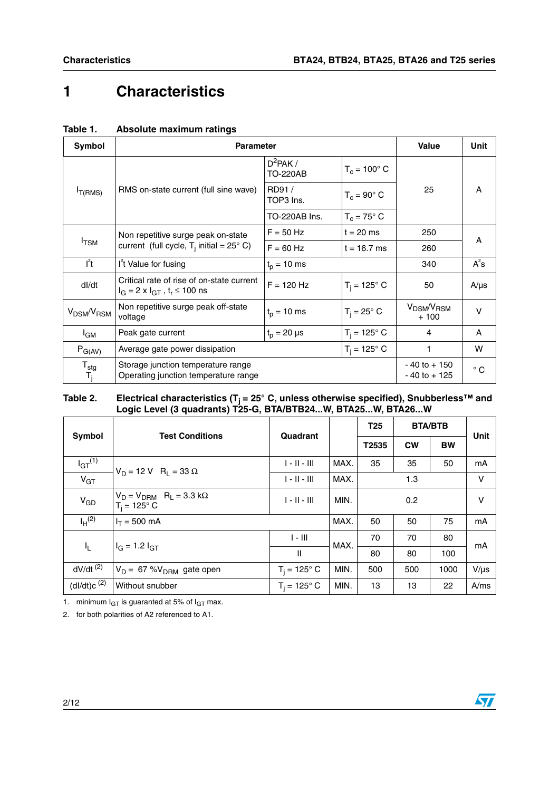## **1 Characteristics**

| Symbol                                                      | <b>Parameter</b>                                                                        |                                             |                       | Value                                        | <b>Unit</b>  |
|-------------------------------------------------------------|-----------------------------------------------------------------------------------------|---------------------------------------------|-----------------------|----------------------------------------------|--------------|
|                                                             |                                                                                         | $D^2$ PAK /<br><b>TO-220AB</b>              | $T_c = 100^{\circ}$ C |                                              |              |
| $I_{T(RMS)}$                                                | RMS on-state current (full sine wave)                                                   | RD91/<br>TOP3 Ins.                          | $T_c = 90^\circ$ C    | 25                                           | A            |
|                                                             |                                                                                         | TO-220AB Ins.                               | $T_c = 75^\circ$ C    |                                              |              |
|                                                             | Non repetitive surge peak on-state                                                      | $F = 50$ Hz                                 | $t = 20$ ms           | 250                                          | A            |
| $I_{\text{TSM}}$                                            | current (full cycle, $T_i$ initial = 25° C)                                             | $F = 60$ Hz                                 | $t = 16.7$ ms         | 260                                          |              |
| $I^2t$                                                      | I <sup>t</sup> Value for fusing                                                         | $t_p = 10$ ms                               |                       | 340                                          | $A^2s$       |
| dl/dt                                                       | Critical rate of rise of on-state current<br>$I_G = 2 \times I_{GT}$ , $t_r \le 100$ ns | $F = 120$ Hz                                | $T_i = 125^\circ C$   | 50                                           | $A/\mu s$    |
| V <sub>DSM</sub> /V <sub>RSM</sub>                          | Non repetitive surge peak off-state<br>voltage                                          | $t_{p}$ = 10 ms                             | $T_i = 25^\circ$ C    | V <sub>DSM</sub> /V <sub>RSM</sub><br>$+100$ | v            |
| l <sub>GM</sub>                                             | Peak gate current                                                                       | $T_i = 125^\circ C$<br>$t_{p} = 20 \,\mu s$ |                       | 4                                            | A            |
| $P_{G(AV)}$                                                 | Average gate power dissipation                                                          |                                             | $T_i = 125^\circ C$   | 1                                            | w            |
| $\frac{\mathsf{T}_{\mathsf{stg}}}{\mathsf{T}_{\mathsf{j}}}$ | Storage junction temperature range<br>Operating junction temperature range              |                                             |                       | $-40$ to $+150$<br>$-40$ to $+125$           | $^{\circ}$ C |

### **Table 1. Absolute maximum ratings**

#### Table 2. Electrical characteristics (T<sub>j</sub> = 25° C, unless otherwise specified), Snubberless™ and **Logic Level (3 quadrants) T25-G, BTA/BTB24...W, BTA25...W, BTA26...W**

| Symbol                  | <b>Test Conditions</b>                                                    | Quadrant            |      | <b>T25</b> | <b>BTA/BTB</b> | Unit      |           |
|-------------------------|---------------------------------------------------------------------------|---------------------|------|------------|----------------|-----------|-----------|
|                         |                                                                           |                     |      |            | <b>CW</b>      | <b>BW</b> |           |
| $I_{GT}$ <sup>(1)</sup> | $V_D = 12 V R_1 = 33 \Omega$                                              | $1 - 11 - 111$      | MAX. | 35         | 35             | 50        | mA        |
| V <sub>GT</sub>         |                                                                           | $1 - 11 - 111$      | MAX. |            |                | v         |           |
| $V_{GD}$                | $V_D = V_{DRM}$ R <sub>L</sub> = 3.3 k $\Omega$<br>$T_i = 125^\circ \, C$ | $1 - 11 - 111$      | MIN. | 0.2        |                |           | v         |
| $I_H^{(2)}$             | $I_T = 500$ mA                                                            |                     | MAX. | 50         | 50             | 75        | mA        |
|                         | $I_G = 1.2 I_{GT}$                                                        | $1 - III$           | MAX. | 70         | 70             | 80        | mA        |
| I <sub>L</sub>          |                                                                           | $\mathbf{I}$        |      | 80         | 80             | 100       |           |
| $dV/dt$ <sup>(2)</sup>  | $V_D = 67 %V_{DRM}$ gate open                                             | $T_i = 125^\circ C$ | MIN. | 500        | 500            | 1000      | $V/\mu s$ |
| (dI/dt)c <sup>(2)</sup> | Without snubber                                                           | $T_i = 125^\circ$ C | MIN. | 13         | 13             | 22        | A/ms      |

1. minimum  $I_{GT}$  is guaranted at 5% of  $I_{GT}$  max.

<span id="page-1-0"></span>2. for both polarities of A2 referenced to A1.

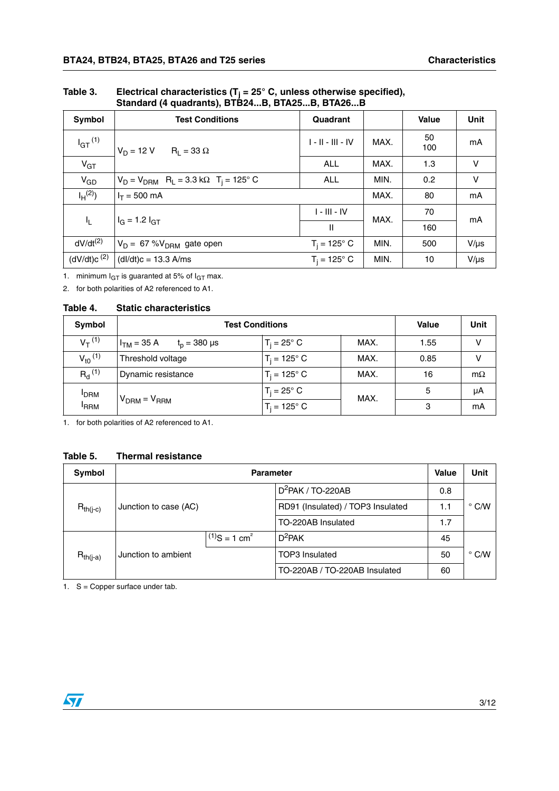| Symbol                  | <b>Test Conditions</b>                                                  | Quadrant            |      | <b>Value</b> | Unit      |  |
|-------------------------|-------------------------------------------------------------------------|---------------------|------|--------------|-----------|--|
| $I_{GT}$ <sup>(1)</sup> | $V_D = 12 V$ R <sub>1</sub> = 33 $\Omega$                               | $1 - 11 - 111 - 10$ | MAX. | 50<br>100    | mA        |  |
| $V_{GT}$                |                                                                         | <b>ALL</b>          | MAX. | 1.3          | v         |  |
| $V_{GD}$                | $V_D = V_{DRM}$ R <sub>L</sub> = 3.3 k $\Omega$ T <sub>i</sub> = 125° C | <b>ALL</b>          | MIN. | 0.2          | v         |  |
| $I_H^{(2)}$             | $I_T = 500$ mA                                                          |                     | MAX. | 80           | mA        |  |
|                         |                                                                         | $I - III - IV$      | MAX. | 70           | mA        |  |
| I <sub>L</sub>          | $I_G = 1.2 I_{GT}$                                                      | $\mathbf{I}$        |      | 160          |           |  |
| $dV/dt^{(2)}$           | $V_D = 67 %V_{DRM}$ gate open                                           | $T_i = 125^\circ C$ | MIN. | 500          | $V/\mu s$ |  |
| $(dV/dt)c^{(2)}$        | $(dI/dt)c = 13.3$ A/ms                                                  | $T_i = 125^\circ C$ | MIN. | 10           | $V/\mu s$ |  |

Table 3. Electrical characteristics (T<sub>j</sub> = 25° C, unless otherwise specified), **Standard (4 quadrants), BTB24...B, BTA25...B, BTA26...B**

1. minimum  $I_{GT}$  is guaranted at 5% of  $I_{GT}$  max.

<span id="page-2-0"></span>2. for both polarities of A2 referenced to A1.

#### **Table 4. Static characteristics**

| Symbol                  | <b>Test Conditions</b>                               | <b>Value</b>          | Unit |      |           |
|-------------------------|------------------------------------------------------|-----------------------|------|------|-----------|
| $V_T^{(1)}$             | $I_{TM}$ = 35 A<br>$t_{p} = 380 \text{ }\mu\text{s}$ | $T_i = 25^\circ$ C    | MAX. | 1.55 | v         |
| $V_{t0}$ <sup>(1)</sup> | Threshold voltage                                    | $T_i = 125^{\circ} C$ | MAX. | 0.85 | v         |
| $R_{d}^{(1)}$           | Dynamic resistance                                   | $T_i = 125^{\circ} C$ | MAX. | 16   | $m\Omega$ |
| <b>IDRM</b>             |                                                      | $T_i = 25^\circ$ C    | MAX. | 5    | μA        |
| <sup>I</sup> RRM        | $V_{DRM} = V_{RRM}$                                  | $T_i = 125^{\circ} C$ |      | 3    | mA        |

<span id="page-2-1"></span>1. for both polarities of A2 referenced to A1.

#### **Table 5. Thermal resistance**

| Symbol        |                       | <b>Value</b>                | Unit                              |     |               |
|---------------|-----------------------|-----------------------------|-----------------------------------|-----|---------------|
|               |                       |                             | $D^2$ PAK / TO-220AB              | 0.8 |               |
| $R_{th(i-c)}$ | Junction to case (AC) |                             | RD91 (Insulated) / TOP3 Insulated | 1.1 | $\degree$ C/W |
|               | TO-220AB Insulated    |                             |                                   |     |               |
|               |                       | $(1)$ S = 1 cm <sup>2</sup> | $D^2$ PAK                         | 45  |               |
| $R_{th(i-a)}$ | Junction to ambient   |                             | <b>TOP3</b> Insulated             | 50  | $\degree$ C/W |
|               |                       |                             | TO-220AB / TO-220AB Insulated     | 60  |               |

1. S = Copper surface under tab.

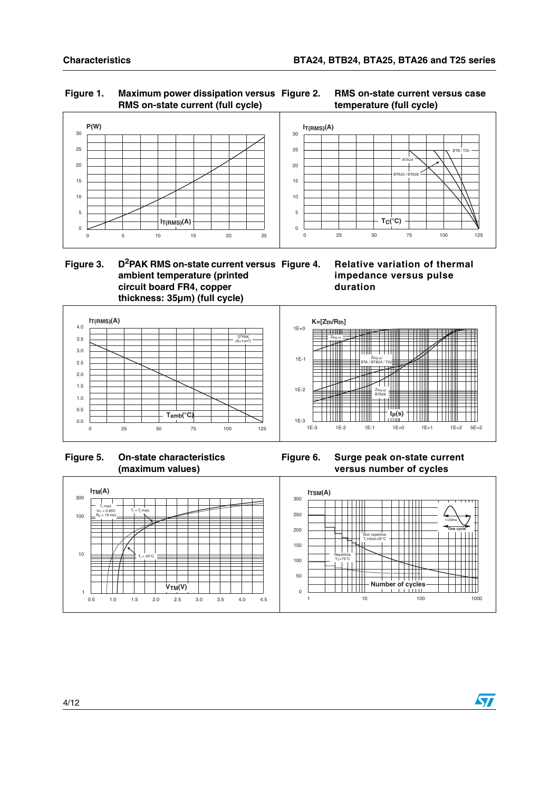#### **Figure 1. Maximum power dissipation versus RMS on-state current (full cycle)**







 **Figure 3. D2PAK RMS on-state current versus ambient temperature (printed circuit board FR4, copper thickness: 35µm) (full cycle)**

**Relative variation of thermal impedance versus pulse duration**



 **Figure 5. On-state characteristics (maximum values)**

**Figure 6. Surge peak on-state current versus number of cycles**

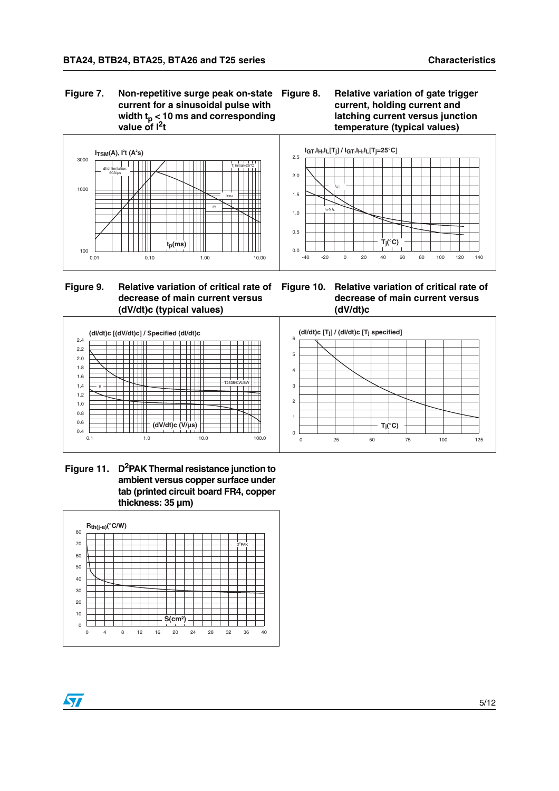**Figure 7. Non-repetitive surge peak on-state current for a sinusoidal pulse with**  width t<sub>p</sub> < 10 ms and corresponding **value of I2t**





**Figure 9. Relative variation of critical rate of Figure 10. Relative variation of critical rate of decrease of main current versus (dV/dt)c (typical values)**

**decrease of main current versus (dV/dt)c**



Figure 11. D<sup>2</sup>PAK Thermal resistance junction to **ambient versus copper surface under tab (printed circuit board FR4, copper thickness: 35 µm)**



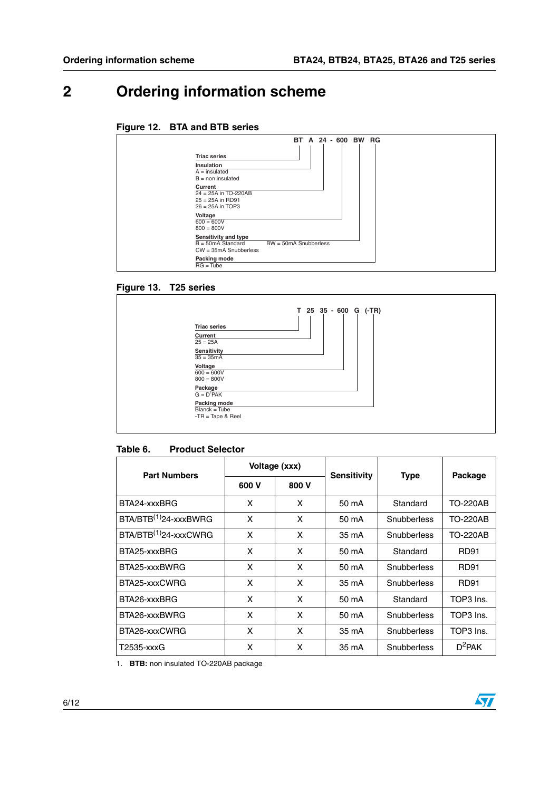## **2 Ordering information scheme**

#### **Figure 12. BTA and BTB series**

|                                                                               | <b>BT</b>               | A | 24 - 600 BW RG |  |  |
|-------------------------------------------------------------------------------|-------------------------|---|----------------|--|--|
| <b>Triac series</b>                                                           |                         |   |                |  |  |
| Insulation<br>$A =$ insulated<br>$B = \text{non insulated}$                   |                         |   |                |  |  |
| Current<br>$24 = 25A$ in TO-220AB<br>$25 = 25A$ in RD91<br>$26 = 25A$ in TOP3 |                         |   |                |  |  |
| Voltage<br>$600 = 600V$<br>$800 = 800V$                                       |                         |   |                |  |  |
| Sensitivity and type<br>$B = 50mA$ Standard<br>$CW = 35mA$ Snubberless        | $BW = 50mA$ Snubberless |   |                |  |  |
| Packing mode<br>$RG = Tube$                                                   |                         |   |                |  |  |

#### **Figure 13. T25 series**



#### <span id="page-5-0"></span>**Table 6. Product Selector**

| <b>Part Numbers</b>               | Voltage (xxx) |       | <b>Sensitivity</b> | <b>Type</b> | Package         |
|-----------------------------------|---------------|-------|--------------------|-------------|-----------------|
|                                   | 600 V         | 800 V |                    |             |                 |
| BTA24-xxxBRG                      | x             | X     | 50 mA              | Standard    | <b>TO-220AB</b> |
| BTA/BTB <sup>(1)</sup> 24-xxxBWRG | x             | X     | 50 mA              | Snubberless |                 |
| $BTA/BTB(1)24-xxxxCWRG$           | x             | X     | 35 mA              | Snubberless | <b>TO-220AB</b> |
| BTA25-xxxBRG                      | x             | X     | 50 mA              | Standard    | RD91            |
| BTA25-xxxBWRG                     | x             | X     | 50 mA              | Snubberless | RD91            |
| BTA25-xxxCWRG                     | x             | X     | 35 mA              | Snubberless | RD91            |
| BTA26-xxxBRG                      | x             | X     | 50 mA              | Standard    | TOP3 Ins.       |
| BTA26-xxxBWRG                     | x             | X     | 50 mA              | Snubberless | TOP3 Ins.       |
| BTA26-xxxCWRG                     | x             | X     | 35 mA              | Snubberless | TOP3 Ins.       |
| T2535-xxxG                        | x             | X     | 35 mA              | Snubberless | $D^2$ PAK       |

<span id="page-5-1"></span>1. **BTB:** non insulated TO-220AB package

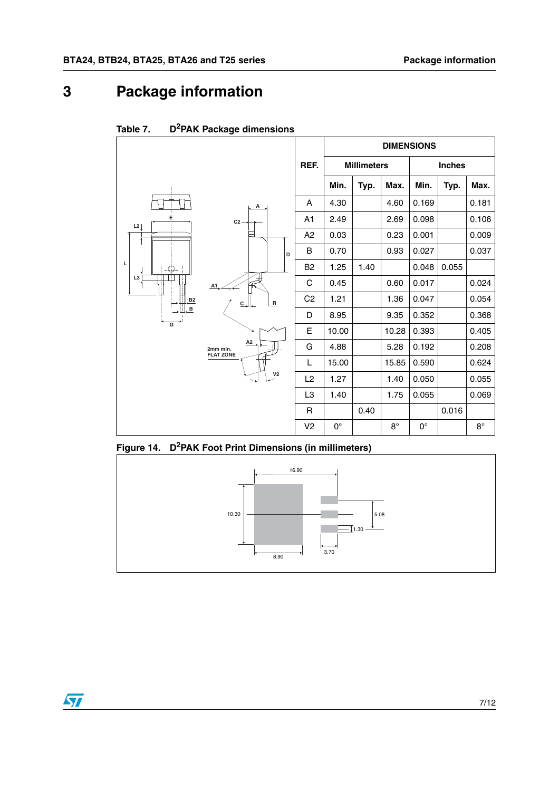### **3 Package information**

 $\bm{\varPi}$ 



Table 7. **D**<sup>2</sup>PAK Package dimensions



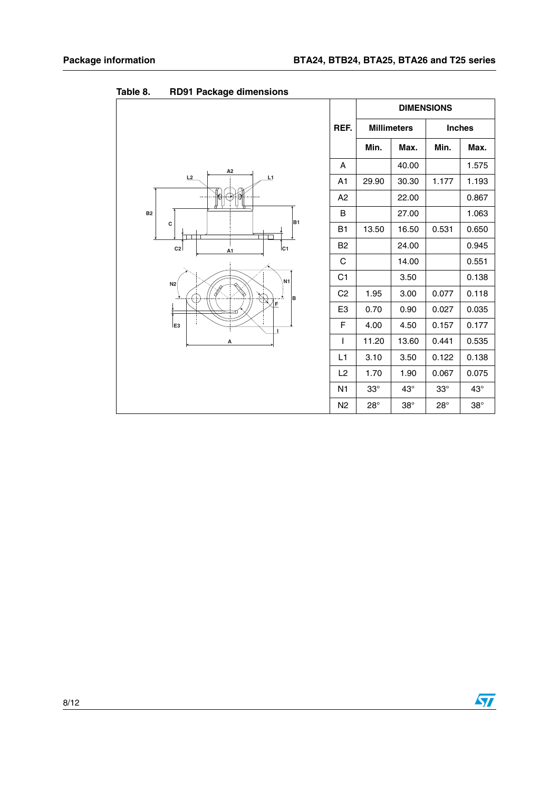|                                                                                                                                                                                                                |                | <b>DIMENSIONS</b> |                    |               |            |
|----------------------------------------------------------------------------------------------------------------------------------------------------------------------------------------------------------------|----------------|-------------------|--------------------|---------------|------------|
|                                                                                                                                                                                                                | REF.           |                   | <b>Millimeters</b> | <b>Inches</b> |            |
|                                                                                                                                                                                                                |                | Min.              | Max.               | Min.          | Max.       |
|                                                                                                                                                                                                                | A              |                   | 40.00              |               | 1.575      |
| A <sub>2</sub><br>L2<br>L1<br><b>B2</b><br>B <sub>1</sub><br>c<br>Ic <sub>1</sub><br>c <sub>2</sub><br>A1<br>N <sub>1</sub><br>N <sub>2</sub><br>$\mathcal{B}_{\Sigma}$<br>lв<br>F<br>E <sub>3</sub><br>T<br>А | A <sub>1</sub> | 29.90             | 30.30              | 1.177         | 1.193      |
|                                                                                                                                                                                                                | A2             |                   | 22.00              |               | 0.867      |
|                                                                                                                                                                                                                | B              |                   | 27.00              |               | 1.063      |
|                                                                                                                                                                                                                | B1             | 13.50             | 16.50              | 0.531         | 0.650      |
|                                                                                                                                                                                                                | B <sub>2</sub> |                   | 24.00              |               | 0.945      |
|                                                                                                                                                                                                                | C              |                   | 14.00              |               | 0.551      |
|                                                                                                                                                                                                                | C <sub>1</sub> |                   | 3.50               |               | 0.138      |
|                                                                                                                                                                                                                | C <sub>2</sub> | 1.95              | 3.00               | 0.077         | 0.118      |
|                                                                                                                                                                                                                | E <sub>3</sub> | 0.70              | 0.90               | 0.027         | 0.035      |
|                                                                                                                                                                                                                | F              | 4.00              | 4.50               | 0.157         | 0.177      |
|                                                                                                                                                                                                                | $\overline{1}$ | 11.20             | 13.60              | 0.441         | 0.535      |
|                                                                                                                                                                                                                | L1             | 3.10              | 3.50               | 0.122         | 0.138      |
|                                                                                                                                                                                                                | L2             | 1.70              | 1.90               | 0.067         | 0.075      |
|                                                                                                                                                                                                                | N <sub>1</sub> | $33^\circ$        | $43^\circ$         | $33^\circ$    | $43^\circ$ |
|                                                                                                                                                                                                                | N <sub>2</sub> | $28^\circ$        | $38^\circ$         | $28^\circ$    | $38^\circ$ |

Table 8. **RD91 Package dimensions** 

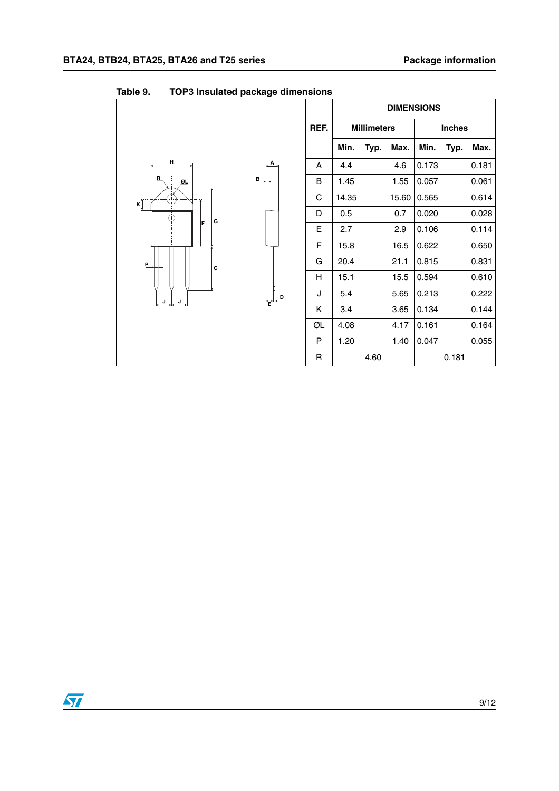|                    |                                                                                                                                                                                                                                                                                                                                                                                                                                               |              |                    |      | <b>DIMENSIONS</b> |       |               |       |
|--------------------|-----------------------------------------------------------------------------------------------------------------------------------------------------------------------------------------------------------------------------------------------------------------------------------------------------------------------------------------------------------------------------------------------------------------------------------------------|--------------|--------------------|------|-------------------|-------|---------------|-------|
|                    |                                                                                                                                                                                                                                                                                                                                                                                                                                               | REF.         | <b>Millimeters</b> |      |                   |       | <b>Inches</b> |       |
|                    |                                                                                                                                                                                                                                                                                                                                                                                                                                               |              | Min.               | Typ. | Max.              | Min.  | Typ.          | Max.  |
| н                  | А                                                                                                                                                                                                                                                                                                                                                                                                                                             | A            | 4.4                |      | 4.6               | 0.173 |               | 0.181 |
| $\mathbf{B}$<br>று | $\mathbf{B}$                                                                                                                                                                                                                                                                                                                                                                                                                                  | B            | 1.45               |      | 1.55              | 0.057 |               | 0.061 |
| $\kappa$ Ţ         |                                                                                                                                                                                                                                                                                                                                                                                                                                               | C            | 14.35              |      | 15.60             | 0.565 |               | 0.614 |
| G                  |                                                                                                                                                                                                                                                                                                                                                                                                                                               | D            | 0.5                |      | 0.7               | 0.020 |               | 0.028 |
| F                  |                                                                                                                                                                                                                                                                                                                                                                                                                                               | E            | 2.7                |      | 2.9               | 0.106 |               | 0.114 |
|                    |                                                                                                                                                                                                                                                                                                                                                                                                                                               | F            | 15.8               |      | 16.5              | 0.622 |               | 0.650 |
| P<br>c             |                                                                                                                                                                                                                                                                                                                                                                                                                                               | G            | 20.4               |      | 21.1              | 0.815 |               | 0.831 |
|                    |                                                                                                                                                                                                                                                                                                                                                                                                                                               | H            | 15.1               |      | 15.5              | 0.594 |               | 0.610 |
| J<br>J             | $\begin{array}{c} \mathbf{L}_{\mathbf{E}}\mathbf{L}_{\mathbf{E}}\mathbf{L}_{\mathbf{E}}\mathbf{L}_{\mathbf{E}}\mathbf{L}_{\mathbf{E}}\mathbf{L}_{\mathbf{E}}\mathbf{L}_{\mathbf{E}}\mathbf{L}_{\mathbf{E}}\mathbf{L}_{\mathbf{E}}\mathbf{L}_{\mathbf{E}}\mathbf{L}_{\mathbf{E}}\mathbf{L}_{\mathbf{E}}\mathbf{L}_{\mathbf{E}}\mathbf{L}_{\mathbf{E}}\mathbf{L}_{\mathbf{E}}\mathbf{L}_{\mathbf{E}}\mathbf{L}_{\mathbf{E}}\mathbf{L}_{\mathbf$ | J            | 5.4                |      | 5.65              | 0.213 |               | 0.222 |
|                    |                                                                                                                                                                                                                                                                                                                                                                                                                                               | Κ            | 3.4                |      | 3.65              | 0.134 |               | 0.144 |
|                    |                                                                                                                                                                                                                                                                                                                                                                                                                                               | ØL           | 4.08               |      | 4.17              | 0.161 |               | 0.164 |
|                    |                                                                                                                                                                                                                                                                                                                                                                                                                                               | P            | 1.20               |      | 1.40              | 0.047 |               | 0.055 |
|                    |                                                                                                                                                                                                                                                                                                                                                                                                                                               | $\mathsf{R}$ |                    | 4.60 |                   |       | 0.181         |       |

**Table 9. TOP3 Insulated package dimensions**

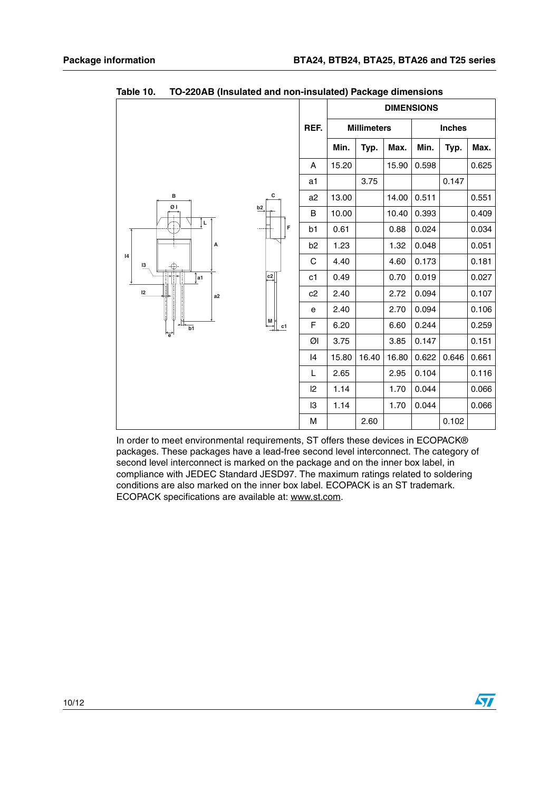|                        |               |                | <b>DIMENSIONS</b>  |       |               |       |       |       |  |
|------------------------|---------------|----------------|--------------------|-------|---------------|-------|-------|-------|--|
|                        | REF.          |                | <b>Millimeters</b> |       | <b>Inches</b> |       |       |       |  |
|                        |               |                | Min.               | Typ.  | Max.          | Min.  | Typ.  | Max.  |  |
|                        |               | Α              | 15.20              |       | 15.90         | 0.598 |       | 0.625 |  |
|                        |               | a1             |                    | 3.75  |               |       | 0.147 |       |  |
| с<br>в                 |               | a <sub>2</sub> | 13.00              |       | 14.00         | 0.511 |       | 0.551 |  |
| ØΙ                     | b2            | B              | 10.00              |       | 10.40         | 0.393 |       | 0.409 |  |
| įμ                     | F<br>$\cdots$ | b1             | 0.61               |       | 0.88          | 0.024 |       | 0.034 |  |
| А                      |               | b <sub>2</sub> | 1.23               |       | 1.32          | 0.048 |       | 0.051 |  |
| 4<br>13                |               | С              | 4.40               |       | 4.60          | 0.173 |       | 0.181 |  |
| a1                     | c2            | c1             | 0.49               |       | 0.70          | 0.019 |       | 0.027 |  |
| 12<br>a2               |               | c2             | 2.40               |       | 2.72          | 0.094 |       | 0.107 |  |
|                        |               | е              | 2.40               |       | 2.70          | 0.094 |       | 0.106 |  |
| $\overline{b1}$<br>'ē' | 벺<br>c1       | F              | 6.20               |       | 6.60          | 0.244 |       | 0.259 |  |
|                        |               | ØI             | 3.75               |       | 3.85          | 0.147 |       | 0.151 |  |
|                        |               | 14             | 15.80              | 16.40 | 16.80         | 0.622 | 0.646 | 0.661 |  |
|                        |               | L              | 2.65               |       | 2.95          | 0.104 |       | 0.116 |  |
|                        |               | $\mathsf{I2}$  | 1.14               |       | 1.70          | 0.044 |       | 0.066 |  |
|                        |               | 13             | 1.14               |       | 1.70          | 0.044 |       | 0.066 |  |
|                        |               | M              |                    | 2.60  |               |       | 0.102 |       |  |

Table 10. **Table 10. TO-220AB (Insulated and non-insulated) Package dimensions**

In order to meet environmental requirements, ST offers these devices in ECOPACK® packages. These packages have a lead-free second level interconnect. The category of second level interconnect is marked on the package and on the inner box label, in compliance with JEDEC Standard JESD97. The maximum ratings related to soldering conditions are also marked on the inner box label. ECOPACK is an ST trademark. ECOPACK specifications are available at: www.st.com.

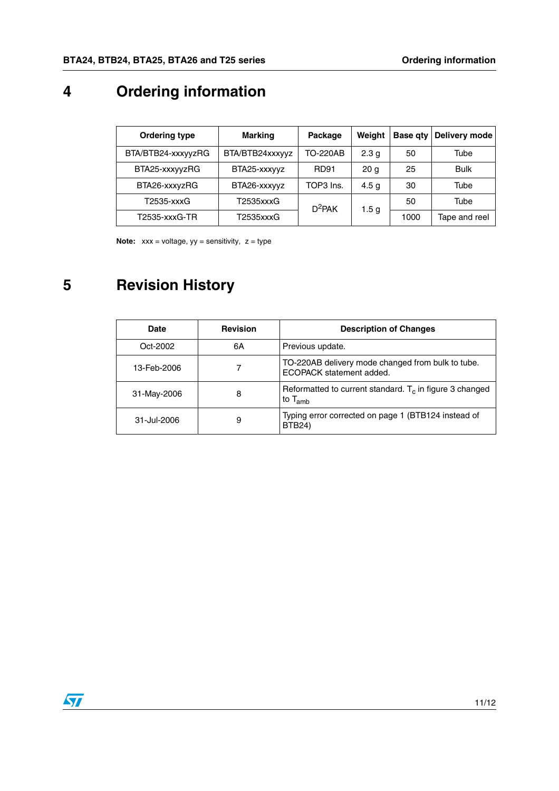## **4 Ordering information**

| <b>Ordering type</b> | <b>Marking</b>  | Package   | Weight           | <b>Base qty</b> | Delivery mode |
|----------------------|-----------------|-----------|------------------|-----------------|---------------|
| BTA/BTB24-xxxyyzRG   | BTA/BTB24xxxyyz | TO-220AB  | 2.3 <sub>q</sub> | 50              | Tube          |
| BTA25-xxxyyzRG       | BTA25-xxxyyz    | RD91      | 20 <sub>q</sub>  | 25              | <b>Bulk</b>   |
| BTA26-xxxyzRG        | BTA26-xxxyyz    | TOP3 Ins. | 4.5 <sub>q</sub> | 30              | Tube          |
| T2535-xxxG           | T2535xxxG       | $D^2$ PAK | 1.5 <sub>g</sub> | 50              | Tube          |
| T2535-xxxG-TR        | T2535xxxG       |           |                  | 1000            | Tape and reel |

**Note:**  $xxx =$  voltage,  $yy =$  sensitivity,  $z =$  type

## **5 Revision History**

| Date        | <b>Revision</b> | <b>Description of Changes</b>                                                 |  |
|-------------|-----------------|-------------------------------------------------------------------------------|--|
| Oct-2002    | 6A              | Previous update.                                                              |  |
| 13-Feb-2006 |                 | TO-220AB delivery mode changed from bulk to tube.<br>ECOPACK statement added. |  |
| 31-May-2006 | 8               | Reformatted to current standard. $T_c$ in figure 3 changed<br>to $T_{amb}$    |  |
| 31-Jul-2006 | 9               | Typing error corrected on page 1 (BTB124 instead of<br><b>BTB24)</b>          |  |